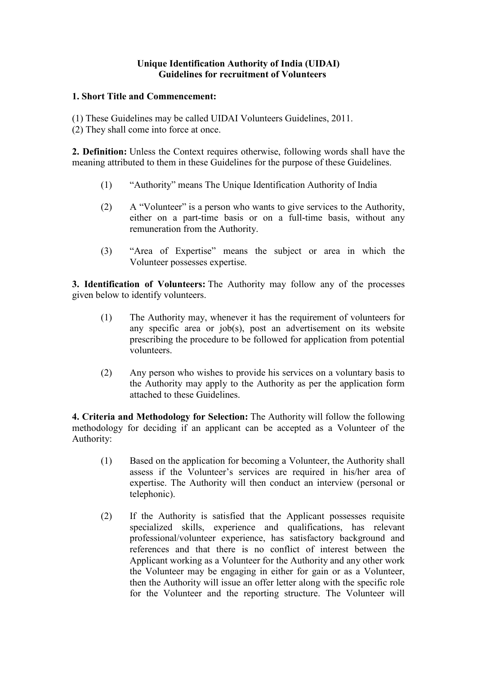## **Unique Identification Authority of India (UIDAI) Guidelines for recruitment of Volunteers**

## **1. Short Title and Commencement:**

- (1) These Guidelines may be called UIDAI Volunteers Guidelines, 2011.
- (2) They shall come into force at once.

**2. Definition:** Unless the Context requires otherwise, following words shall have the meaning attributed to them in these Guidelines for the purpose of these Guidelines.

- (1) "Authority" means The Unique Identification Authority of India
- (2) A "Volunteer" is a person who wants to give services to the Authority, either on a part-time basis or on a full-time basis, without any remuneration from the Authority.
- (3) "Area of Expertise" means the subject or area in which the Volunteer possesses expertise.

**3. Identification of Volunteers:** The Authority may follow any of the processes given below to identify volunteers.

- (1) The Authority may, whenever it has the requirement of volunteers for any specific area or job(s), post an advertisement on its website prescribing the procedure to be followed for application from potential volunteers.
- (2) Any person who wishes to provide his services on a voluntary basis to the Authority may apply to the Authority as per the application form attached to these Guidelines.

**4. Criteria and Methodology for Selection:** The Authority will follow the following methodology for deciding if an applicant can be accepted as a Volunteer of the Authority:

- (1) Based on the application for becoming a Volunteer, the Authority shall assess if the Volunteer's services are required in his/her area of expertise. The Authority will then conduct an interview (personal or telephonic).
- (2) If the Authority is satisfied that the Applicant possesses requisite specialized skills, experience and qualifications, has relevant professional/volunteer experience, has satisfactory background and references and that there is no conflict of interest between the Applicant working as a Volunteer for the Authority and any other work the Volunteer may be engaging in either for gain or as a Volunteer, then the Authority will issue an offer letter along with the specific role for the Volunteer and the reporting structure. The Volunteer will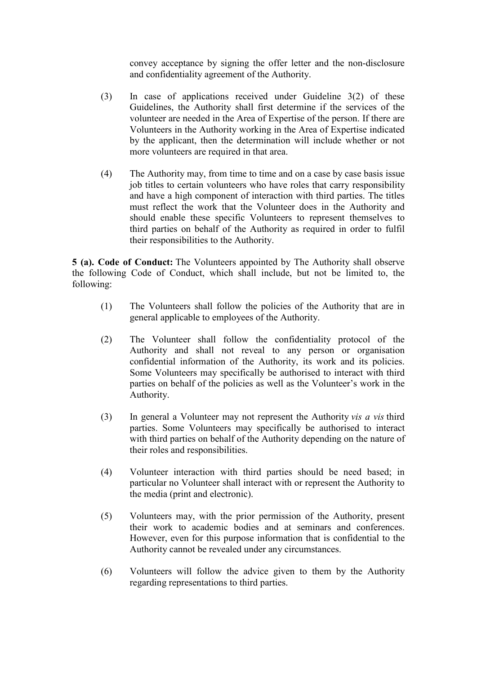convey acceptance by signing the offer letter and the non-disclosure and confidentiality agreement of the Authority.

- (3) In case of applications received under Guideline 3(2) of these Guidelines, the Authority shall first determine if the services of the volunteer are needed in the Area of Expertise of the person. If there are Volunteers in the Authority working in the Area of Expertise indicated by the applicant, then the determination will include whether or not more volunteers are required in that area.
- (4) The Authority may, from time to time and on a case by case basis issue job titles to certain volunteers who have roles that carry responsibility and have a high component of interaction with third parties. The titles must reflect the work that the Volunteer does in the Authority and should enable these specific Volunteers to represent themselves to third parties on behalf of the Authority as required in order to fulfil their responsibilities to the Authority.

**5 (a). Code of Conduct:** The Volunteers appointed by The Authority shall observe the following Code of Conduct, which shall include, but not be limited to, the following:

- (1) The Volunteers shall follow the policies of the Authority that are in general applicable to employees of the Authority.
- (2) The Volunteer shall follow the confidentiality protocol of the Authority and shall not reveal to any person or organisation confidential information of the Authority, its work and its policies. Some Volunteers may specifically be authorised to interact with third parties on behalf of the policies as well as the Volunteer's work in the Authority.
- (3) In general a Volunteer may not represent the Authority *vis a vis* third parties. Some Volunteers may specifically be authorised to interact with third parties on behalf of the Authority depending on the nature of their roles and responsibilities.
- (4) Volunteer interaction with third parties should be need based; in particular no Volunteer shall interact with or represent the Authority to the media (print and electronic).
- (5) Volunteers may, with the prior permission of the Authority, present their work to academic bodies and at seminars and conferences. However, even for this purpose information that is confidential to the Authority cannot be revealed under any circumstances.
- (6) Volunteers will follow the advice given to them by the Authority regarding representations to third parties.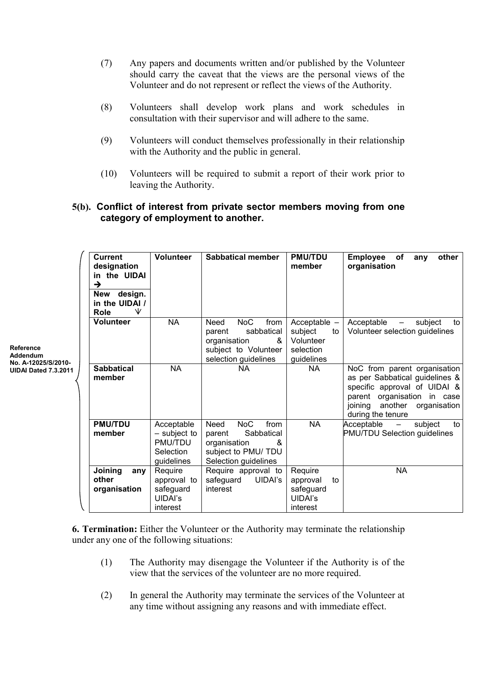- (7) Any papers and documents written and/or published by the Volunteer should carry the caveat that the views are the personal views of the Volunteer and do not represent or reflect the views of the Authority.
- (8) Volunteers shall develop work plans and work schedules in consultation with their supervisor and will adhere to the same.
- (9) Volunteers will conduct themselves professionally in their relationship with the Authority and the public in general.
- (10) Volunteers will be required to submit a report of their work prior to leaving the Authority.

## **5(b). Conflict of interest from private sector members moving from one category of employment to another.**

| <b>Reference</b><br>Addendum<br>No. A-12025/S/2010-<br><b>UIDAI Dated 7.3.2011</b> | <b>Current</b><br>designation<br>in the UIDAI<br>$\rightarrow$<br>design.<br>New<br>in the UIDAI / | <b>Volunteer</b>                                                   | Sabbatical member                                                                                                       | <b>PMU/TDU</b><br>member                                                | <b>Employee</b><br>of<br>other<br>any<br>organisation                                                                                                                                 |
|------------------------------------------------------------------------------------|----------------------------------------------------------------------------------------------------|--------------------------------------------------------------------|-------------------------------------------------------------------------------------------------------------------------|-------------------------------------------------------------------------|---------------------------------------------------------------------------------------------------------------------------------------------------------------------------------------|
|                                                                                    | ₩<br>Role<br><b>Volunteer</b>                                                                      | <b>NA</b>                                                          | <b>NoC</b><br>from<br>Need<br>sabbatical<br>parent<br>organisation<br>&<br>subject to Volunteer<br>selection guidelines | Acceptable $-$<br>subject<br>to<br>Volunteer<br>selection<br>guidelines | Acceptable<br>subject<br>to<br>$\overline{\phantom{m}}$<br>Volunteer selection guidelines                                                                                             |
|                                                                                    | <b>Sabbatical</b><br>member                                                                        | <b>NA</b>                                                          | <b>NA</b>                                                                                                               | <b>NA</b>                                                               | NoC from parent organisation<br>as per Sabbatical guidelines &<br>specific approval of UIDAI &<br>parent organisation in case<br>joining<br>another organisation<br>during the tenure |
|                                                                                    | <b>PMU/TDU</b><br>member                                                                           | Acceptable<br>$-$ subject to<br>PMU/TDU<br>Selection<br>guidelines | <b>NoC</b><br>from<br>Need<br>Sabbatical<br>parent<br>organisation<br>&<br>subject to PMU/ TDU<br>Selection guidelines  | <b>NA</b>                                                               | Acceptable<br>subject<br>to<br>$-$<br><b>PMU/TDU Selection guidelines</b>                                                                                                             |
|                                                                                    | Joining<br>any<br>other<br>organisation                                                            | Require<br>approval to<br>safeguard<br><b>UIDAI's</b><br>interest  | Require approval to<br>UIDAI's<br>safeguard<br>interest                                                                 | Require<br>approval<br>to<br>safeguard<br><b>UIDAI's</b><br>interest    | <b>NA</b>                                                                                                                                                                             |

**6. Termination:** Either the Volunteer or the Authority may terminate the relationship under any one of the following situations:

- (1) The Authority may disengage the Volunteer if the Authority is of the view that the services of the volunteer are no more required.
- (2) In general the Authority may terminate the services of the Volunteer at any time without assigning any reasons and with immediate effect.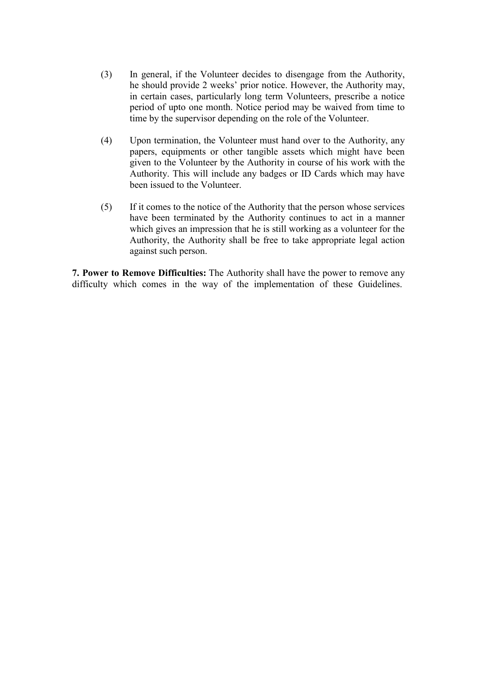- (3) In general, if the Volunteer decides to disengage from the Authority, he should provide 2 weeks' prior notice. However, the Authority may, in certain cases, particularly long term Volunteers, prescribe a notice period of upto one month. Notice period may be waived from time to time by the supervisor depending on the role of the Volunteer.
- (4) Upon termination, the Volunteer must hand over to the Authority, any papers, equipments or other tangible assets which might have been given to the Volunteer by the Authority in course of his work with the Authority. This will include any badges or ID Cards which may have been issued to the Volunteer.
- (5) If it comes to the notice of the Authority that the person whose services have been terminated by the Authority continues to act in a manner which gives an impression that he is still working as a volunteer for the Authority, the Authority shall be free to take appropriate legal action against such person.

**7. Power to Remove Difficulties:** The Authority shall have the power to remove any difficulty which comes in the way of the implementation of these Guidelines.